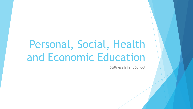# Personal, Social, Health and Economic Education

Stillness Infant School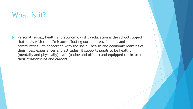### What is it?

 Personal, social, health and economic (PSHE) education is the school subject that deals with real life issues affecting our children, families and communities. It's concerned with the social, health and economic realities of their lives, experiences and attitudes. It supports pupils to be healthy (mentally and physically); safe (online and offline) and equipped to thrive in their relationships and careers.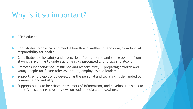### Why is it so important?

- PSHE education:
- Contributes to physical and mental health and wellbeing, encouraging individual responsibility for health.
- Contributes to the safety and protection of our children and young people, from staying safe online to understanding risks associated with drugs and alcohol.
- Promotes independence, resilience and responsibility preparing children and young people for future roles as parents, employees and leaders.
- Supports employability by developing the personal and social skills demanded by commerce and industry.
- Supports pupils to be critical consumers of information, and develops the skills to identify misleading news or views on social media and elsewhere.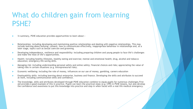### What do children gain from learning PSHE?

- !n summary, PSHE education provides opportunities to learn about :
- Relationships: including developing and maintaining positive relationships and dealing with negative relationships. This may include learning about bullying, consent, how to communicate effectively, inappropriate behaviour in relationships and, at a later stage, topics such as sexual coercion and grooming.
- Developing independence, resilience and responsibility: including preparing children and young people to face life's challenges and make the most of life's opportunities.
- Health: including healthy lifestyles, healthy eating and exercise; mental and emotional health; drug, alcohol and tobacco education; emergency life-saving skills.
- Managing risk: including understanding personal safety and online safety; financial choices and risks; appreciating the value of taking risks in certain situations (e.g. entrepreneurial risks).
- Economic wellbeing: including the role of money, influences on our use of money, gambling, careers education
- Employability skills: including learning about enterprise, business and finance. Developing the skills and attributes to succeed at work, including communication skills and confidence.
- The knowledge, skills and attributes developed through PSHE education combine to equip pupils for numerous challenges. First aid provides a good example of this in practice. Pupils can learn the practical steps (e.g. CPR) in PSHE lessons, but also develop the confidence and awareness to put this knowledge into practice and step in when faced with a real-life medical emergency.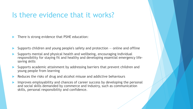### Is there evidence that it works?

There is strong evidence that PSHE education:

- Supports children and young people's safety and protection online and offline
- Supports mental and physical health and wellbeing, encouraging individual responsibility for staying fit and healthy and developing essential emergency lifesaving skills
- Supports academic attainment by addressing barriers that prevent children and young people from learning
- Reduces the risks of drug and alcohol misuse and addictive behaviours
- Improves employability and chances of career success by developing the personal and social skills demanded by commerce and industry, such as communication skills, personal responsibility and confidence.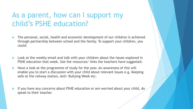## As a parent, how can I support my child's PSHE education?

- The personal, social, health and economic development of our children is achieved through partnership between school and the family. To support your children, you could:
- Look at the weekly email and talk with your children about the issues explored in PSHE education that week. Use the resources/ links the teachers have suggested.
- Have a look at the programme of study for the year. An awareness of this will enable you to start a discussion with your child about relevant issues e.g. Keeping safe at the railway station, Anti- Bullying Week etc.
- If you have any concerns about PSHE education or are worried about your child, do speak to their teacher.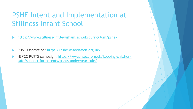## PSHE Intent and Implementation at Stillness Infant School

- <https://www.stillness-inf.lewisham.sch.uk/curriculum/pshe/>
- PHSE Association: <https://pshe-association.org.uk/>
- [NSPCC PANTS campaign: https://www.nspcc.org.uk/keeping-children](https://www.nspcc.org.uk/keeping-children-safe/support-for-parents/pants-underwear-rule/)safe/support-for-parents/pants-underwear-rule/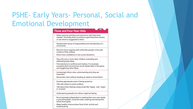## PSHE- Early Years- Personal, Social and **Emotional Development**

#### **Three and Four-Year-Olds**



or one which is suggested to them.

- Develop their sense of responsibility and membership of a community.
- Become more outgoing with unfamiliar people, in the safe context of their setting.
- · Show more confidence in new social situations.
- Play with one or more other children, extending and elaborating play ideas.
- · Find solutions to conflicts and rivalries. For example, accepting that not everyone can be Spider-Man in the game, and suggesting other ideas.
- Increasingly follow rules, understanding why they are important.
- · Remember rules without needing an adult to remind them.
- Develop appropriate ways of being assertive.
- . Talk with others to solve conflicts.
- · Talk about their feelings using words like 'happy', 'sad', 'angry' or 'worried'.
- Understand gradually how others might be feeling.
- Be increasingly independent in meeting their own care needs, e.g brushing teeth, using the toilet, washing and drying their hands thoroughly.
- Make healthy choices about food, drink, activity and toothbrushing.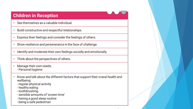### **Children in Reception**

- See themselves as a valuable individual. 41
- Build constructive and respectful relationships. ω,
- Express their feelings and consider the feelings of others.  $\mathbf{H}$
- Show resilience and perseverance in the face of challenge. ω,
- Identify and moderate their own feelings socially and emotionally. a,
- Think about the perspectives of others. Ψ.
- Manage their own needs. Ψ. - Personal hygiene
- Know and talk about the different factors that support their overal health and ø. wellbeing:
	- regular physical activity
	- healthy eating
	- toothbrushing
	- sensible amounts of 'screen time'
	- having a good sleep routine
	- being a safe pedestrian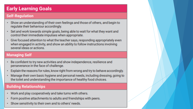### **Early Learning Goals**

### **Self-Requlation**

- . Show an understanding of their own feelings and those of others, and begin to regulate their behaviour accordingly.
- . Set and work towards simple goals, being able to wait for what they want and control their immediate impulses when appropriate.
- . Give focused attention to what the teacher says, responding appropriately even when engaged in activity, and show an ability to follow instructions involving several ideas or actions.

### **Managing Self**

- . Be confident to try new activities and show independence, resilience and perseverance in the face of challenge.
- Explain the reasons for rules, know right from wrong and try to behave accordingly.
- Manage their own basic hygiene and personal needs, including dressing, going to the toilet and understanding the importance of healthy food choices.

### **Building Relationships**

- Work and play cooperatively and take turns with others.
- Form positive attachments to adults and friendships with peers.
- Show sensitivity to their own and to others' needs.  $\bullet$  .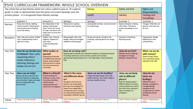| $\overline{+}$<br>PSHE CURRICULUM FRAMEWORK: WHOLE SCHOOL OVERVIEW |                                                                                                                                                                      |                                                                                                                                                                                        |                                                                                                                                                                                                                                                                    |                                                                                                                                               |                                                                                                                                                                                                              |                                                                                                                                                                                           |  |  |  |  |  |
|--------------------------------------------------------------------|----------------------------------------------------------------------------------------------------------------------------------------------------------------------|----------------------------------------------------------------------------------------------------------------------------------------------------------------------------------------|--------------------------------------------------------------------------------------------------------------------------------------------------------------------------------------------------------------------------------------------------------------------|-----------------------------------------------------------------------------------------------------------------------------------------------|--------------------------------------------------------------------------------------------------------------------------------------------------------------------------------------------------------------|-------------------------------------------------------------------------------------------------------------------------------------------------------------------------------------------|--|--|--|--|--|
|                                                                    | The school has six key themes which are colour-coded to give an 'at a glance                                                                                         |                                                                                                                                                                                        | Money                                                                                                                                                                                                                                                              | Safety and Risk                                                                                                                               | Rights and                                                                                                                                                                                                   |                                                                                                                                                                                           |  |  |  |  |  |
|                                                                    | guide' in order to demonstrate how the spiral curriculum develops over the                                                                                           |                                                                                                                                                                                        |                                                                                                                                                                                                                                                                    |                                                                                                                                               |                                                                                                                                                                                                              | Responsibilities                                                                                                                                                                          |  |  |  |  |  |
|                                                                    | primary phase - it is recognised these themes overlap.                                                                                                               |                                                                                                                                                                                        |                                                                                                                                                                                                                                                                    | Health                                                                                                                                        | Identity                                                                                                                                                                                                     | Feelings and<br>Friendships                                                                                                                                                               |  |  |  |  |  |
|                                                                    | Autumn 1                                                                                                                                                             | Autumn 2                                                                                                                                                                               | Spring 1                                                                                                                                                                                                                                                           | Spring 2                                                                                                                                      | Summer 1                                                                                                                                                                                                     | Summer 2                                                                                                                                                                                  |  |  |  |  |  |
| Nursery                                                            | Rules and routines. Settling<br>without parents. Selecting and<br>sharing resources and taking<br>turns with others.                                                 | Be independent in the<br>setting, helping each<br>other. Know who to ask<br>for help. Talk about who<br>helps them at home and<br>in school.                                           | Taking turns in games,<br>following rules in games.                                                                                                                                                                                                                | Looking after animals, care and concern<br>for living things.                                                                                 | Explore being fair, sharing<br>with others. Talk about<br>events and people in own<br>life.                                                                                                                  | Changes. What they are<br>good at, what they can<br>do now.                                                                                                                               |  |  |  |  |  |
| Reception                                                          | Class rules and routines. Golden<br>rules. Understanding what is<br>right and wrong.                                                                                 | Golden rules. Working<br>together. Respect for<br>each other.<br>Understanding other<br>faiths.                                                                                        | Being grateful. New Year<br>targets. Skills and strengths<br>needed to achieve goals                                                                                                                                                                               | Morals and values. Caring for the<br>ducklings. Learning about how things<br>grow.                                                            | Caring for living things.<br>Resolving issues.                                                                                                                                                               | Preparing for change.<br>Reflecting on their<br>achievements.                                                                                                                             |  |  |  |  |  |
| Year One                                                           | How do we decide how<br>to behave? Class rules;<br>respecting others'<br>needs; behaviour;<br>listening; feelings and<br>bodies can be hurt                          | What makes us<br>special?<br><b>Respecting similarities</b><br>and differences between<br>people; special people;<br>that everyone is unique;<br>but that everyone has<br>similarities | How do we keep safe?<br>(including medicines) can be harmful; secrets and surprises;<br>help                                                                                                                                                                       | Keeping safe in familiar and unfamiliar situations; household products<br>appropriate/inappropriate touch; who helps keep us safe; asking for | How do we feel?<br>Different kinds of feelings;<br>strategies to manage<br>feelings; change and loss                                                                                                         | What can we do<br>with money?<br>Where money comes<br>from; spending; saving;<br>keeping money safe                                                                                       |  |  |  |  |  |
| Year Two                                                           | How can we help?<br>Group and class rules and why<br>they are important; respecting<br>own and others' rights and need;<br>privacy; looking after the<br>environment | What is a friend?<br>Hurtful teasing and<br>bullying is wrong, what<br>to do about bullying;<br>unsafe secrets;<br>inappropriate touch<br>what to do if it happens                     | What is the same<br>and different about<br>us?<br>Recognise what they are<br>good at; set simple goals;<br>growing; and changing and<br>being more independent;<br>naming body parts correctly<br>(including external genitalia);<br>belonging to different groups | How can we be healthy?<br>Things that keep bodies and minds<br>healthy (activity, rest, food); hygiene<br>routines; healthy choices           | How can we keep<br>safe in different<br>places?<br>Rules for keeping safe in<br>different places; including<br>online; people who work in<br>the community; asking for<br>help; including in an<br>emergency | How do we<br>show our<br>feelings?<br>Different kinds of<br>feelings; strategies to<br>manage feelings;<br>change and loss;<br>recognising how others<br>are feeling; sharing<br>feelings |  |  |  |  |  |
| Values                                                             | <b>Values: Learning, Equality</b>                                                                                                                                    | Values: Forgiveness,<br>Kindness                                                                                                                                                       | Values: Perseverance,<br>Empathy.                                                                                                                                                                                                                                  | Values: Individuality, Patience                                                                                                               | Values: Patience, Respect                                                                                                                                                                                    | Values: Independence,<br>Pride                                                                                                                                                            |  |  |  |  |  |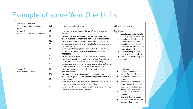## Example of some Year One Units

 $\overline{\mathbb{H}}$ 

| Year 1 PHSE Overview                        |                                                                                                                                                                                                                                                                                                                                                                                                                                                                                                                                                                                                                                                                                                                                                                                                                                                 |                                                                                                                                                                                                                                                                                                                                                                   |
|---------------------------------------------|-------------------------------------------------------------------------------------------------------------------------------------------------------------------------------------------------------------------------------------------------------------------------------------------------------------------------------------------------------------------------------------------------------------------------------------------------------------------------------------------------------------------------------------------------------------------------------------------------------------------------------------------------------------------------------------------------------------------------------------------------------------------------------------------------------------------------------------------------|-------------------------------------------------------------------------------------------------------------------------------------------------------------------------------------------------------------------------------------------------------------------------------------------------------------------------------------------------------------------|
| Term, key question, number of<br>lessons    | Ref<br>Learning opportunities covered                                                                                                                                                                                                                                                                                                                                                                                                                                                                                                                                                                                                                                                                                                                                                                                                           | Y1 learning objectives                                                                                                                                                                                                                                                                                                                                            |
| Autumn 1<br>How do we decide how to behave? | L1.<br>how they can contribute to the life of the classroom and<br>school<br>L2.<br>to help construct, and agree to follow, group, class and<br>school rules and to understand how these rules help them<br>R2.<br>to recognise that their behaviour can affect other people<br>R4.<br>to recognise what is fair and unfair, kind and unkind, what is<br>right and wrong<br>R6<br>to listen to other people and play and work cooperatively<br>(including strategies to resolve simple arguments through<br>negotiation)<br>R7.<br>to offer constructive support and feedback to others<br>R11.<br>that people's bodies and feelings can be hurt (including what<br>makes them feel comfortable and uncomfortable)<br>R12<br>to recognise when people are being unkind either to them or<br>others, how to respond, who to tell and what to say | Pupils learn:<br>about group and class rules<br>and why they are important<br>about respecting the needs<br>of ourselves and others<br>about different types of<br>٠<br>behaviour and how this can<br>make others feel<br>about listening to others<br>and playing cooperatively<br>that bodies and feelings can<br>be hurt                                       |
| Autumn 2<br>What makes us special?          | R8<br>to identify and respect the differences and similarities<br>٠<br>between people<br>R9.<br>to identify their special people (family, friends, carers), what<br>makes them special and how special people should care for<br>L8.<br>one another<br>ways in which they are all unique; understand that there has<br>never been and will never be another 'them'<br>L9.<br>ways in which we are the same as all other people; what we<br>have in common with everyone else                                                                                                                                                                                                                                                                                                                                                                    | Pupils learn:<br>about the importance for<br>respect for the differences<br>and similarities between<br>people<br>to identify their special<br>٠<br>people (family, friends, and<br>carers), what makes them<br>special and how special<br>people should care for one<br>another<br>that everybody is unique<br>about the ways we are the<br>same as other people |